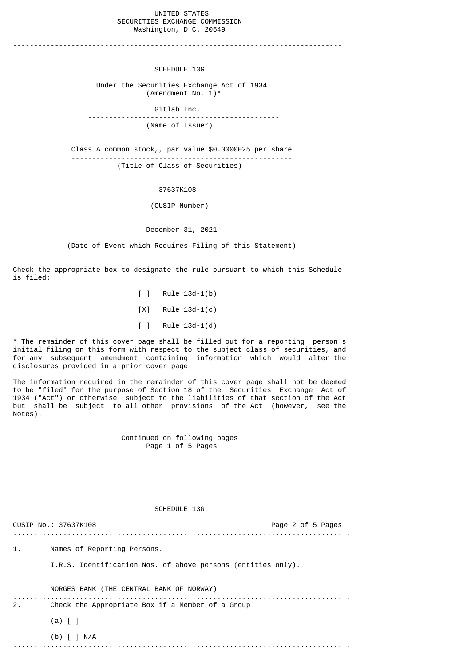## UNITED STATES SECURITIES EXCHANGE COMMISSION Washington, D.C. 20549

-------------------------------------------------------------------------------

## SCHEDULE 13G

 Under the Securities Exchange Act of 1934  $($ Amendment No.  $1$ <sup>\*</sup>

 Gitlab Inc. ---------------------------------------------- (Name of Issuer)

 Class A common stock,, par value \$0.0000025 per share ----------------------------------------------------- (Title of Class of Securities)

> 37637K108 --------------------- (CUSIP Number)

 December 31, 2021 ---------------- (Date of Event which Requires Filing of this Statement)

Check the appropriate box to designate the rule pursuant to which this Schedule is filed:

> [ ] Rule 13d-1(b) [X] Rule 13d-1(c) [ ] Rule 13d-1(d)

\* The remainder of this cover page shall be filled out for a reporting person's initial filing on this form with respect to the subject class of securities, and for any subsequent amendment containing information which would alter the disclosures provided in a prior cover page.

The information required in the remainder of this cover page shall not be deemed to be "filed" for the purpose of Section 18 of the Securities Exchange Act of 1934 ("Act") or otherwise subject to the liabilities of that section of the Act but shall be subject to all other provisions of the Act (however, see the Notes).

> Continued on following pages Page 1 of 5 Pages

## SCHEDULE 13G

|    | CUSIP No.: 37637K108                                                                         | Page 2 of 5 Pages |
|----|----------------------------------------------------------------------------------------------|-------------------|
| 1. | Names of Reporting Persons.                                                                  |                   |
|    | I.R.S. Identification Nos. of above persons (entities only).                                 |                   |
| 2. | NORGES BANK (THE CENTRAL BANK OF NORWAY)<br>Check the Appropriate Box if a Member of a Group |                   |
|    | $(a)$ $\lceil$ $\rceil$                                                                      |                   |
|    | (b) $\lceil$ $\rceil$ N/A<br>.                                                               |                   |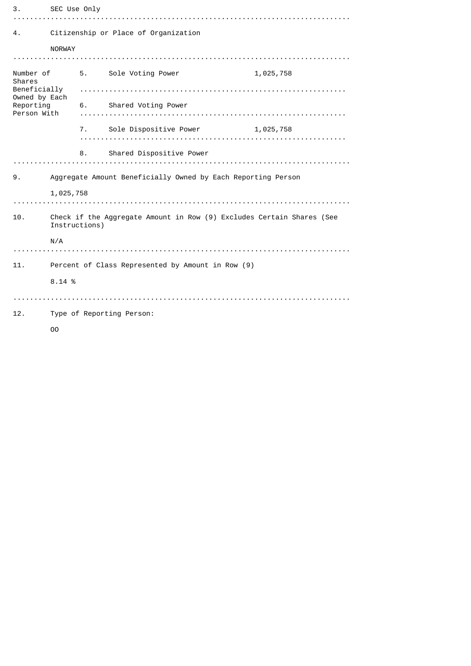| З.                         | SEC Use Only                                                                           |    |                                     |           |  |  |
|----------------------------|----------------------------------------------------------------------------------------|----|-------------------------------------|-----------|--|--|
|                            |                                                                                        |    |                                     |           |  |  |
| 4.                         | Citizenship or Place of Organization                                                   |    |                                     |           |  |  |
|                            | <b>NORWAY</b>                                                                          |    |                                     |           |  |  |
|                            |                                                                                        |    |                                     |           |  |  |
| Number of<br><b>Shares</b> |                                                                                        |    | 5.     Sole Voting Power            | 1,025,758 |  |  |
| Owned by Each<br>Reporting |                                                                                        |    |                                     |           |  |  |
|                            |                                                                                        |    | 6. Shared Voting Power              |           |  |  |
| Person With                |                                                                                        |    |                                     |           |  |  |
|                            |                                                                                        |    | 7. Sole Dispositive Power 1,025,758 |           |  |  |
|                            |                                                                                        |    |                                     |           |  |  |
|                            |                                                                                        | 8. | Shared Dispositive Power            |           |  |  |
|                            |                                                                                        |    |                                     |           |  |  |
| 9.                         | Aggregate Amount Beneficially Owned by Each Reporting Person<br>1,025,758              |    |                                     |           |  |  |
|                            |                                                                                        |    |                                     |           |  |  |
|                            |                                                                                        |    |                                     |           |  |  |
| 10.                        | Check if the Aggregate Amount in Row (9) Excludes Certain Shares (See<br>Instructions) |    |                                     |           |  |  |
|                            | N/A                                                                                    |    |                                     |           |  |  |
|                            |                                                                                        |    |                                     |           |  |  |
| 11.                        | Percent of Class Represented by Amount in Row (9)                                      |    |                                     |           |  |  |
|                            | 8.14 %                                                                                 |    |                                     |           |  |  |
|                            |                                                                                        |    |                                     |           |  |  |
| 12.                        | Type of Reporting Person:                                                              |    |                                     |           |  |  |
|                            | 00                                                                                     |    |                                     |           |  |  |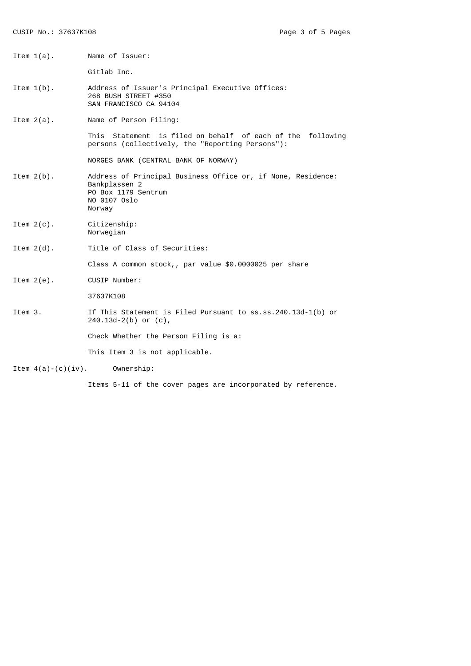| Item $1(a)$ .         | Name of Issuer:                                                                                                                |
|-----------------------|--------------------------------------------------------------------------------------------------------------------------------|
|                       | Gitlab Inc.                                                                                                                    |
| Item $1(b)$ .         | Address of Issuer's Principal Executive Offices:<br>268 BUSH STREET #350<br>SAN FRANCISCO CA 94104                             |
| Item $2(a)$ .         | Name of Person Filing:                                                                                                         |
|                       | This Statement is filed on behalf of each of the following<br>persons (collectively, the "Reporting Persons"):                 |
|                       | NORGES BANK (CENTRAL BANK OF NORWAY)                                                                                           |
| Item $2(b)$ .         | Address of Principal Business Office or, if None, Residence:<br>Bankplassen 2<br>PO Box 1179 Sentrum<br>NO 0107 Oslo<br>Norway |
| Item $2(c)$ .         | Citizenship:<br>Norwegian                                                                                                      |
| Item $2(d)$ .         | Title of Class of Securities:                                                                                                  |
|                       | Class A common stock,, par value \$0.0000025 per share                                                                         |
| Item $2(e)$ .         | CUSIP Number:                                                                                                                  |
|                       | 37637K108                                                                                                                      |
| Item 3.               | If This Statement is Filed Pursuant to ss.ss.240.13d-1(b) or<br>$240.13d-2(b)$ or $(c)$ ,                                      |
|                       | Check Whether the Person Filing is a:                                                                                          |
|                       | This Item 3 is not applicable.                                                                                                 |
| Item $4(a)-(c)(iv)$ . | Ownership:                                                                                                                     |

Items 5-11 of the cover pages are incorporated by reference.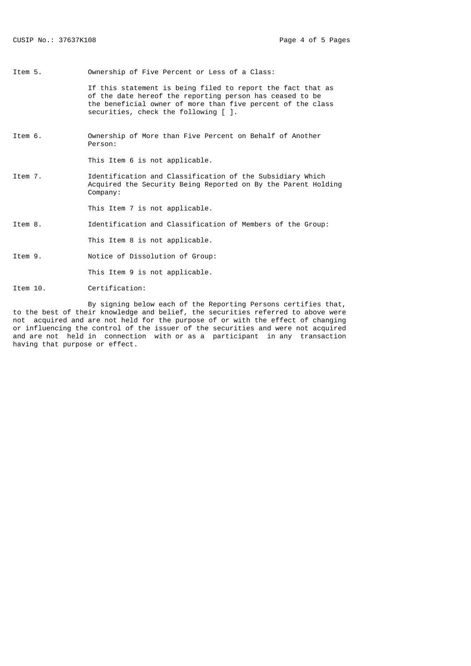Item 5. Ownership of Five Percent or Less of a Class: If this statement is being filed to report the fact that as of the date hereof the reporting person has ceased to be the beneficial owner of more than five percent of the class securities, check the following [ ]. Item 6. Ownership of More than Five Percent on Behalf of Another Person: This Item 6 is not applicable. Item 7. Identification and Classification of the Subsidiary Which Acquired the Security Being Reported on By the Parent Holding Company: This Item 7 is not applicable. Item 8. Identification and Classification of Members of the Group: This Item 8 is not applicable. Item 9. Notice of Dissolution of Group: This Item 9 is not applicable.

Item 10. Certification:

 By signing below each of the Reporting Persons certifies that, to the best of their knowledge and belief, the securities referred to above were not acquired and are not held for the purpose of or with the effect of changing or influencing the control of the issuer of the securities and were not acquired and are not held in connection with or as a participant in any transaction having that purpose or effect.